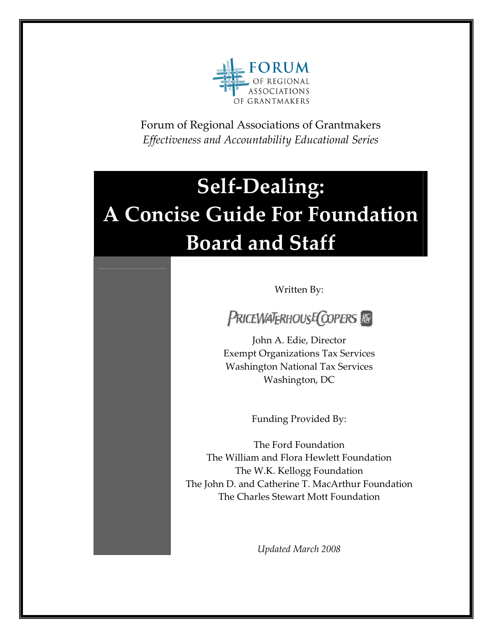

Forum of Regional Associations of Grantmakers *Effectiveness and Accountability Educational Series*

# **Self-Dealing: A Concise Guide For Foundation Board and Staff**

Written By:

PRICEWATERHOUSE COPERS

John A. Edie, Director Exempt Organizations Tax Services Washington National Tax Services Washington, DC

Funding Provided By:

The Ford Foundation The William and Flora Hewlett Foundation The W.K. Kellogg Foundation The John D. and Catherine T. MacArthur Foundation The Charles Stewart Mott Foundation

*Updated March 2008*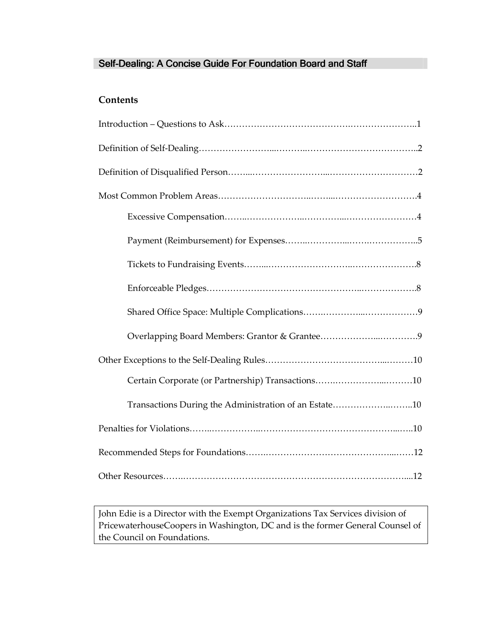# Self-Dealing: A Concise Guide For Foundation Board and Staff

# **Contents**

| Transactions During the Administration of an Estate10 |
|-------------------------------------------------------|
|                                                       |
|                                                       |
|                                                       |

John Edie is a Director with the Exempt Organizations Tax Services division of PricewaterhouseCoopers in Washington, DC and is the former General Counsel of the Council on Foundations.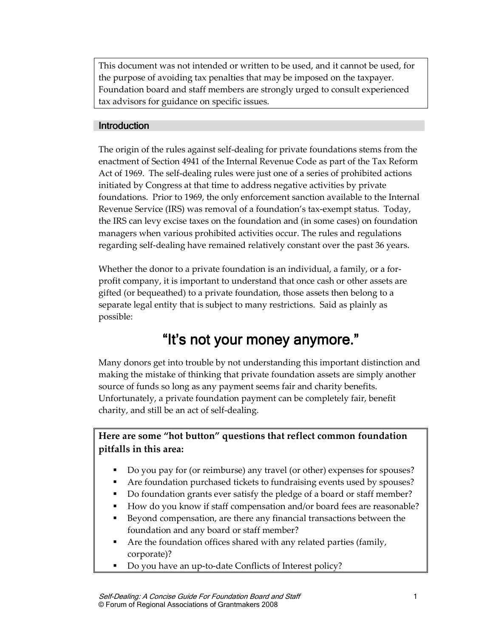This document was not intended or written to be used, and it cannot be used, for the purpose of avoiding tax penalties that may be imposed on the taxpayer. Foundation board and staff members are strongly urged to consult experienced tax advisors for guidance on specific issues.

#### **Introduction**

The origin of the rules against self-dealing for private foundations stems from the enactment of Section 4941 of the Internal Revenue Code as part of the Tax Reform Act of 1969. The self-dealing rules were just one of a series of prohibited actions initiated by Congress at that time to address negative activities by private foundations. Prior to 1969, the only enforcement sanction available to the Internal Revenue Service (IRS) was removal of a foundation's tax-exempt status. Today, the IRS can levy excise taxes on the foundation and (in some cases) on foundation managers when various prohibited activities occur. The rules and regulations regarding self-dealing have remained relatively constant over the past 36 years.

Whether the donor to a private foundation is an individual, a family, or a forprofit company, it is important to understand that once cash or other assets are gifted (or bequeathed) to a private foundation, those assets then belong to a separate legal entity that is subject to many restrictions. Said as plainly as possible:

# "It's not your money anymore."

Many donors get into trouble by not understanding this important distinction and making the mistake of thinking that private foundation assets are simply another source of funds so long as any payment seems fair and charity benefits. Unfortunately, a private foundation payment can be completely fair, benefit charity, and still be an act of self-dealing.

# **Here are some "hot button" questions that reflect common foundation pitfalls in this area:**

- Do you pay for (or reimburse) any travel (or other) expenses for spouses?
- Are foundation purchased tickets to fundraising events used by spouses?
- Do foundation grants ever satisfy the pledge of a board or staff member?
- How do you know if staff compensation and/or board fees are reasonable?
- Beyond compensation, are there any financial transactions between the foundation and any board or staff member?
- Are the foundation offices shared with any related parties (family, corporate)?
- Do you have an up-to-date Conflicts of Interest policy?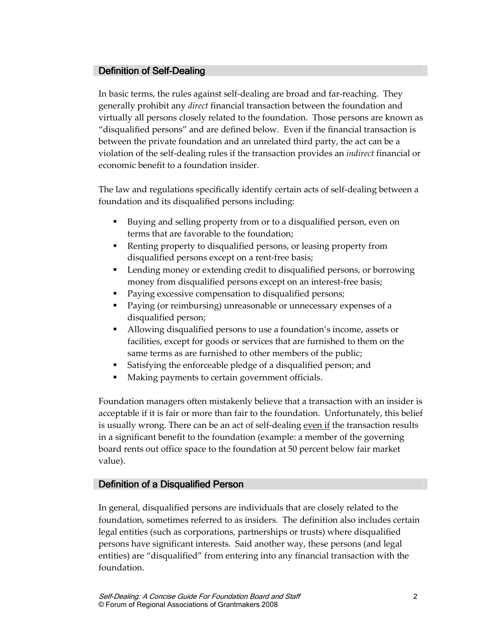### Definition of Self-Dealing

In basic terms, the rules against self-dealing are broad and far-reaching. They generally prohibit any *direct* financial transaction between the foundation and virtually all persons closely related to the foundation. Those persons are known as "disqualified persons" and are defined below. Even if the financial transaction is between the private foundation and an unrelated third party, the act can be a violation of the self-dealing rules if the transaction provides an *indirect* financial or economic benefit to a foundation insider.

The law and regulations specifically identify certain acts of self-dealing between a foundation and its disqualified persons including:

- Buying and selling property from or to a disqualified person, even on terms that are favorable to the foundation;
- Renting property to disqualified persons, or leasing property from disqualified persons except on a rent-free basis;
- **Lending money or extending credit to disqualified persons, or borrowing** money from disqualified persons except on an interest-free basis;
- Paying excessive compensation to disqualified persons;
- **Paying (or reimbursing) unreasonable or unnecessary expenses of a** disqualified person;
- Allowing disqualified persons to use a foundation's income, assets or facilities, except for goods or services that are furnished to them on the same terms as are furnished to other members of the public;
- Satisfying the enforceable pledge of a disqualified person; and
- Making payments to certain government officials.

Foundation managers often mistakenly believe that a transaction with an insider is acceptable if it is fair or more than fair to the foundation. Unfortunately, this belief is usually wrong. There can be an act of self-dealing even if the transaction results in a significant benefit to the foundation (example: a member of the governing board rents out office space to the foundation at 50 percent below fair market value).

#### Definition of a Disqualified Person

In general, disqualified persons are individuals that are closely related to the foundation, sometimes referred to as insiders. The definition also includes certain legal entities (such as corporations, partnerships or trusts) where disqualified persons have significant interests. Said another way, these persons (and legal entities) are "disqualified" from entering into any financial transaction with the foundation.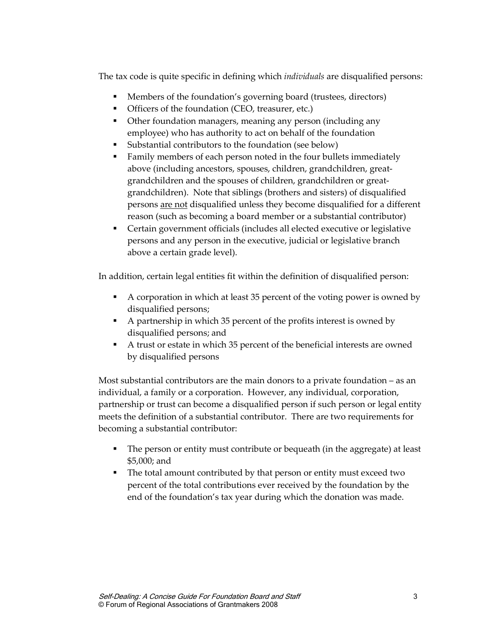The tax code is quite specific in defining which *individuals* are disqualified persons:

- Members of the foundation's governing board (trustees, directors)
- Officers of the foundation (CEO, treasurer, etc.)
- **Other foundation managers, meaning any person (including any** employee) who has authority to act on behalf of the foundation
- Substantial contributors to the foundation (see below)
- Family members of each person noted in the four bullets immediately above (including ancestors, spouses, children, grandchildren, greatgrandchildren and the spouses of children, grandchildren or greatgrandchildren). Note that siblings (brothers and sisters) of disqualified persons are not disqualified unless they become disqualified for a different reason (such as becoming a board member or a substantial contributor)
- Certain government officials (includes all elected executive or legislative persons and any person in the executive, judicial or legislative branch above a certain grade level).

In addition, certain legal entities fit within the definition of disqualified person:

- A corporation in which at least 35 percent of the voting power is owned by disqualified persons;
- A partnership in which 35 percent of the profits interest is owned by disqualified persons; and
- A trust or estate in which 35 percent of the beneficial interests are owned by disqualified persons

Most substantial contributors are the main donors to a private foundation – as an individual, a family or a corporation. However, any individual, corporation, partnership or trust can become a disqualified person if such person or legal entity meets the definition of a substantial contributor. There are two requirements for becoming a substantial contributor:

- The person or entity must contribute or bequeath (in the aggregate) at least \$5,000; and
- The total amount contributed by that person or entity must exceed two percent of the total contributions ever received by the foundation by the end of the foundation's tax year during which the donation was made.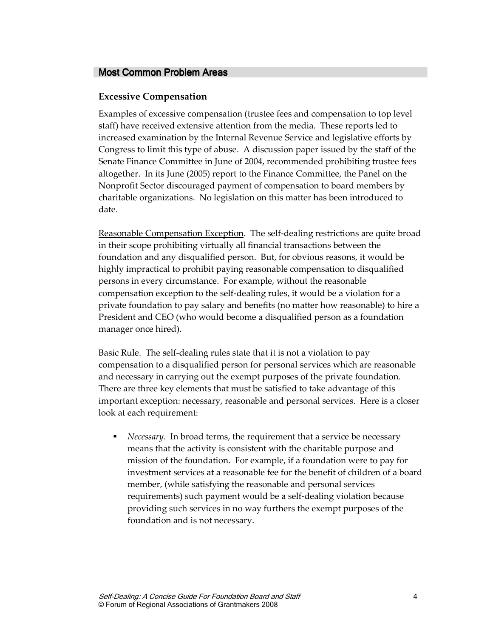#### Most Common Problem Areas

#### **Excessive Compensation**

Examples of excessive compensation (trustee fees and compensation to top level staff) have received extensive attention from the media. These reports led to increased examination by the Internal Revenue Service and legislative efforts by Congress to limit this type of abuse. A discussion paper issued by the staff of the Senate Finance Committee in June of 2004, recommended prohibiting trustee fees altogether. In its June (2005) report to the Finance Committee, the Panel on the Nonprofit Sector discouraged payment of compensation to board members by charitable organizations. No legislation on this matter has been introduced to date.

Reasonable Compensation Exception. The self-dealing restrictions are quite broad in their scope prohibiting virtually all financial transactions between the foundation and any disqualified person. But, for obvious reasons, it would be highly impractical to prohibit paying reasonable compensation to disqualified persons in every circumstance. For example, without the reasonable compensation exception to the self-dealing rules, it would be a violation for a private foundation to pay salary and benefits (no matter how reasonable) to hire a President and CEO (who would become a disqualified person as a foundation manager once hired).

Basic Rule. The self-dealing rules state that it is not a violation to pay compensation to a disqualified person for personal services which are reasonable and necessary in carrying out the exempt purposes of the private foundation. There are three key elements that must be satisfied to take advantage of this important exception: necessary, reasonable and personal services. Here is a closer look at each requirement:

 *Necessary*. In broad terms, the requirement that a service be necessary means that the activity is consistent with the charitable purpose and mission of the foundation. For example, if a foundation were to pay for investment services at a reasonable fee for the benefit of children of a board member, (while satisfying the reasonable and personal services requirements) such payment would be a self-dealing violation because providing such services in no way furthers the exempt purposes of the foundation and is not necessary.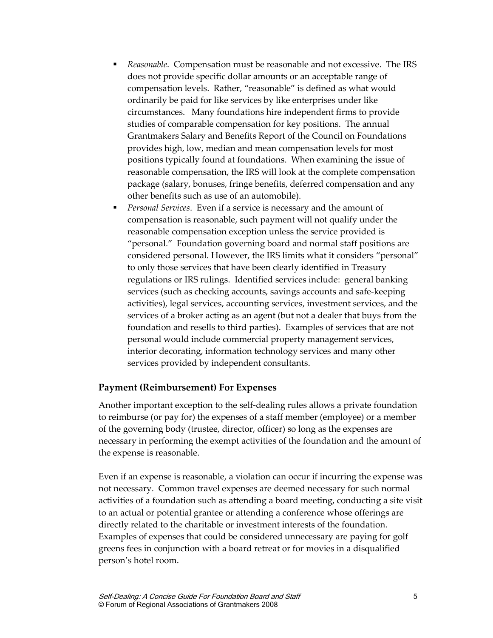- *Reasonable*. Compensation must be reasonable and not excessive. The IRS does not provide specific dollar amounts or an acceptable range of compensation levels. Rather, "reasonable" is defined as what would ordinarily be paid for like services by like enterprises under like circumstances. Many foundations hire independent firms to provide studies of comparable compensation for key positions. The annual Grantmakers Salary and Benefits Report of the Council on Foundations provides high, low, median and mean compensation levels for most positions typically found at foundations. When examining the issue of reasonable compensation, the IRS will look at the complete compensation package (salary, bonuses, fringe benefits, deferred compensation and any other benefits such as use of an automobile).
- *Personal Services*. Even if a service is necessary and the amount of compensation is reasonable, such payment will not qualify under the reasonable compensation exception unless the service provided is "personal." Foundation governing board and normal staff positions are considered personal. However, the IRS limits what it considers "personal" to only those services that have been clearly identified in Treasury regulations or IRS rulings. Identified services include: general banking services (such as checking accounts, savings accounts and safe-keeping activities), legal services, accounting services, investment services, and the services of a broker acting as an agent (but not a dealer that buys from the foundation and resells to third parties). Examples of services that are not personal would include commercial property management services, interior decorating, information technology services and many other services provided by independent consultants.

#### **Payment (Reimbursement) For Expenses**

Another important exception to the self-dealing rules allows a private foundation to reimburse (or pay for) the expenses of a staff member (employee) or a member of the governing body (trustee, director, officer) so long as the expenses are necessary in performing the exempt activities of the foundation and the amount of the expense is reasonable.

Even if an expense is reasonable, a violation can occur if incurring the expense was not necessary. Common travel expenses are deemed necessary for such normal activities of a foundation such as attending a board meeting, conducting a site visit to an actual or potential grantee or attending a conference whose offerings are directly related to the charitable or investment interests of the foundation. Examples of expenses that could be considered unnecessary are paying for golf greens fees in conjunction with a board retreat or for movies in a disqualified person's hotel room.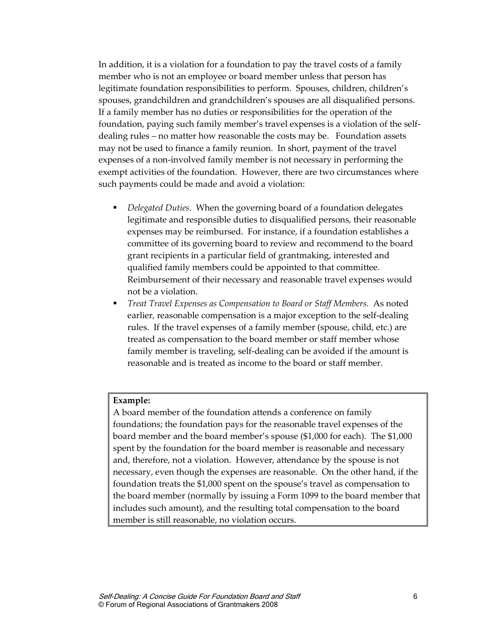In addition, it is a violation for a foundation to pay the travel costs of a family member who is not an employee or board member unless that person has legitimate foundation responsibilities to perform. Spouses, children, children's spouses, grandchildren and grandchildren's spouses are all disqualified persons. If a family member has no duties or responsibilities for the operation of the foundation, paying such family member's travel expenses is a violation of the selfdealing rules – no matter how reasonable the costs may be. Foundation assets may not be used to finance a family reunion. In short, payment of the travel expenses of a non-involved family member is not necessary in performing the exempt activities of the foundation. However, there are two circumstances where such payments could be made and avoid a violation:

- *Delegated Duties*. When the governing board of a foundation delegates legitimate and responsible duties to disqualified persons, their reasonable expenses may be reimbursed. For instance, if a foundation establishes a committee of its governing board to review and recommend to the board grant recipients in a particular field of grantmaking, interested and qualified family members could be appointed to that committee. Reimbursement of their necessary and reasonable travel expenses would not be a violation.
- *Treat Travel Expenses as Compensation to Board or Staff Members*. As noted earlier, reasonable compensation is a major exception to the self-dealing rules. If the travel expenses of a family member (spouse, child, etc.) are treated as compensation to the board member or staff member whose family member is traveling, self-dealing can be avoided if the amount is reasonable and is treated as income to the board or staff member.

#### **Example:**

A board member of the foundation attends a conference on family foundations; the foundation pays for the reasonable travel expenses of the board member and the board member's spouse (\$1,000 for each). The \$1,000 spent by the foundation for the board member is reasonable and necessary and, therefore, not a violation. However, attendance by the spouse is not necessary, even though the expenses are reasonable. On the other hand, if the foundation treats the \$1,000 spent on the spouse's travel as compensation to the board member (normally by issuing a Form 1099 to the board member that includes such amount), and the resulting total compensation to the board member is still reasonable, no violation occurs.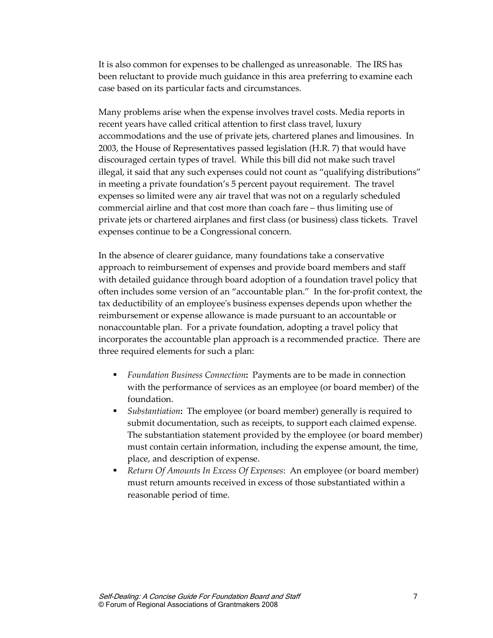It is also common for expenses to be challenged as unreasonable. The IRS has been reluctant to provide much guidance in this area preferring to examine each case based on its particular facts and circumstances.

Many problems arise when the expense involves travel costs. Media reports in recent years have called critical attention to first class travel, luxury accommodations and the use of private jets, chartered planes and limousines. In 2003, the House of Representatives passed legislation (H.R. 7) that would have discouraged certain types of travel. While this bill did not make such travel illegal, it said that any such expenses could not count as "qualifying distributions" in meeting a private foundation's 5 percent payout requirement. The travel expenses so limited were any air travel that was not on a regularly scheduled commercial airline and that cost more than coach fare – thus limiting use of private jets or chartered airplanes and first class (or business) class tickets. Travel expenses continue to be a Congressional concern.

In the absence of clearer guidance, many foundations take a conservative approach to reimbursement of expenses and provide board members and staff with detailed guidance through board adoption of a foundation travel policy that often includes some version of an "accountable plan." In the for-profit context, the tax deductibility of an employee's business expenses depends upon whether the reimbursement or expense allowance is made pursuant to an accountable or nonaccountable plan. For a private foundation, adopting a travel policy that incorporates the accountable plan approach is a recommended practice. There are three required elements for such a plan:

- *Foundation Business Connection***:** Payments are to be made in connection with the performance of services as an employee (or board member) of the foundation.
- *Substantiation***:** The employee (or board member) generally is required to submit documentation, such as receipts, to support each claimed expense. The substantiation statement provided by the employee (or board member) must contain certain information, including the expense amount, the time, place, and description of expense.
- *Return Of Amounts In Excess Of Expenses*: An employee (or board member) must return amounts received in excess of those substantiated within a reasonable period of time.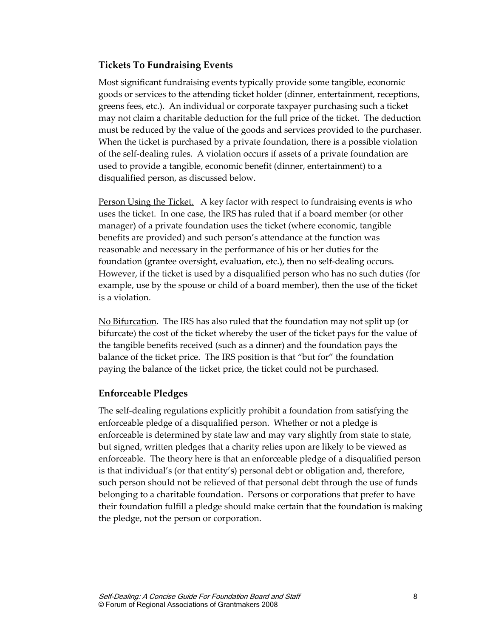#### **Tickets To Fundraising Events**

Most significant fundraising events typically provide some tangible, economic goods or services to the attending ticket holder (dinner, entertainment, receptions, greens fees, etc.). An individual or corporate taxpayer purchasing such a ticket may not claim a charitable deduction for the full price of the ticket. The deduction must be reduced by the value of the goods and services provided to the purchaser. When the ticket is purchased by a private foundation, there is a possible violation of the self-dealing rules. A violation occurs if assets of a private foundation are used to provide a tangible, economic benefit (dinner, entertainment) to a disqualified person, as discussed below.

Person Using the Ticket. A key factor with respect to fundraising events is who uses the ticket. In one case, the IRS has ruled that if a board member (or other manager) of a private foundation uses the ticket (where economic, tangible benefits are provided) and such person's attendance at the function was reasonable and necessary in the performance of his or her duties for the foundation (grantee oversight, evaluation, etc.), then no self-dealing occurs. However, if the ticket is used by a disqualified person who has no such duties (for example, use by the spouse or child of a board member), then the use of the ticket is a violation.

No Bifurcation. The IRS has also ruled that the foundation may not split up (or bifurcate) the cost of the ticket whereby the user of the ticket pays for the value of the tangible benefits received (such as a dinner) and the foundation pays the balance of the ticket price. The IRS position is that "but for" the foundation paying the balance of the ticket price, the ticket could not be purchased.

#### **Enforceable Pledges**

The self-dealing regulations explicitly prohibit a foundation from satisfying the enforceable pledge of a disqualified person. Whether or not a pledge is enforceable is determined by state law and may vary slightly from state to state, but signed, written pledges that a charity relies upon are likely to be viewed as enforceable. The theory here is that an enforceable pledge of a disqualified person is that individual's (or that entity's) personal debt or obligation and, therefore, such person should not be relieved of that personal debt through the use of funds belonging to a charitable foundation. Persons or corporations that prefer to have their foundation fulfill a pledge should make certain that the foundation is making the pledge, not the person or corporation.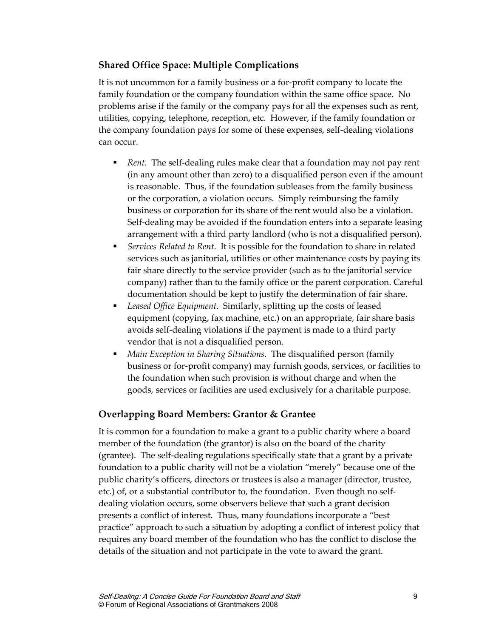# **Shared Office Space: Multiple Complications**

It is not uncommon for a family business or a for-profit company to locate the family foundation or the company foundation within the same office space. No problems arise if the family or the company pays for all the expenses such as rent, utilities, copying, telephone, reception, etc. However, if the family foundation or the company foundation pays for some of these expenses, self-dealing violations can occur.

- *Rent*. The self-dealing rules make clear that a foundation may not pay rent (in any amount other than zero) to a disqualified person even if the amount is reasonable. Thus, if the foundation subleases from the family business or the corporation, a violation occurs. Simply reimbursing the family business or corporation for its share of the rent would also be a violation. Self-dealing may be avoided if the foundation enters into a separate leasing arrangement with a third party landlord (who is not a disqualified person).
- *Services Related to Rent*. It is possible for the foundation to share in related services such as janitorial, utilities or other maintenance costs by paying its fair share directly to the service provider (such as to the janitorial service company) rather than to the family office or the parent corporation. Careful documentation should be kept to justify the determination of fair share.
- *Leased Office Equipment*. Similarly, splitting up the costs of leased equipment (copying, fax machine, etc.) on an appropriate, fair share basis avoids self-dealing violations if the payment is made to a third party vendor that is not a disqualified person.
- *Main Exception in Sharing Situations*. The disqualified person (family business or for-profit company) may furnish goods, services, or facilities to the foundation when such provision is without charge and when the goods, services or facilities are used exclusively for a charitable purpose.

# **Overlapping Board Members: Grantor & Grantee**

It is common for a foundation to make a grant to a public charity where a board member of the foundation (the grantor) is also on the board of the charity (grantee). The self-dealing regulations specifically state that a grant by a private foundation to a public charity will not be a violation "merely" because one of the public charity's officers, directors or trustees is also a manager (director, trustee, etc.) of, or a substantial contributor to, the foundation. Even though no selfdealing violation occurs, some observers believe that such a grant decision presents a conflict of interest. Thus, many foundations incorporate a "best practice" approach to such a situation by adopting a conflict of interest policy that requires any board member of the foundation who has the conflict to disclose the details of the situation and not participate in the vote to award the grant.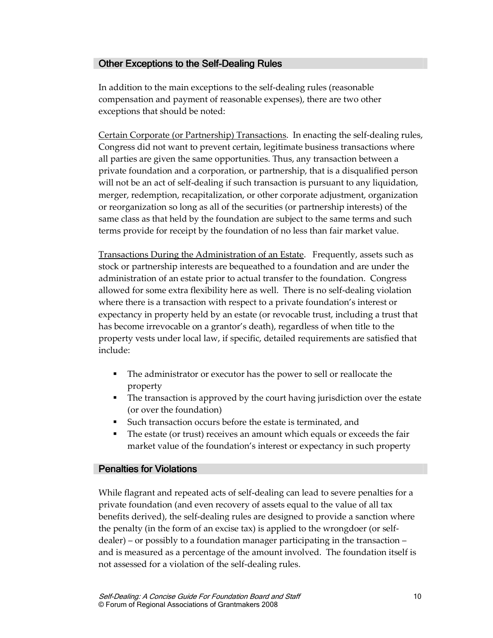# Other Exceptions to the Self-Dealing Rules

In addition to the main exceptions to the self-dealing rules (reasonable compensation and payment of reasonable expenses), there are two other exceptions that should be noted:

Certain Corporate (or Partnership) Transactions. In enacting the self-dealing rules, Congress did not want to prevent certain, legitimate business transactions where all parties are given the same opportunities. Thus, any transaction between a private foundation and a corporation, or partnership, that is a disqualified person will not be an act of self-dealing if such transaction is pursuant to any liquidation, merger, redemption, recapitalization, or other corporate adjustment, organization or reorganization so long as all of the securities (or partnership interests) of the same class as that held by the foundation are subject to the same terms and such terms provide for receipt by the foundation of no less than fair market value.

Transactions During the Administration of an Estate. Frequently, assets such as stock or partnership interests are bequeathed to a foundation and are under the administration of an estate prior to actual transfer to the foundation. Congress allowed for some extra flexibility here as well. There is no self-dealing violation where there is a transaction with respect to a private foundation's interest or expectancy in property held by an estate (or revocable trust, including a trust that has become irrevocable on a grantor's death), regardless of when title to the property vests under local law, if specific, detailed requirements are satisfied that include:

- The administrator or executor has the power to sell or reallocate the property
- The transaction is approved by the court having jurisdiction over the estate (or over the foundation)
- Such transaction occurs before the estate is terminated, and
- The estate (or trust) receives an amount which equals or exceeds the fair market value of the foundation's interest or expectancy in such property

#### **Penalties for Violations**

While flagrant and repeated acts of self-dealing can lead to severe penalties for a private foundation (and even recovery of assets equal to the value of all tax benefits derived), the self-dealing rules are designed to provide a sanction where the penalty (in the form of an excise tax) is applied to the wrongdoer (or selfdealer) – or possibly to a foundation manager participating in the transaction – and is measured as a percentage of the amount involved. The foundation itself is not assessed for a violation of the self-dealing rules.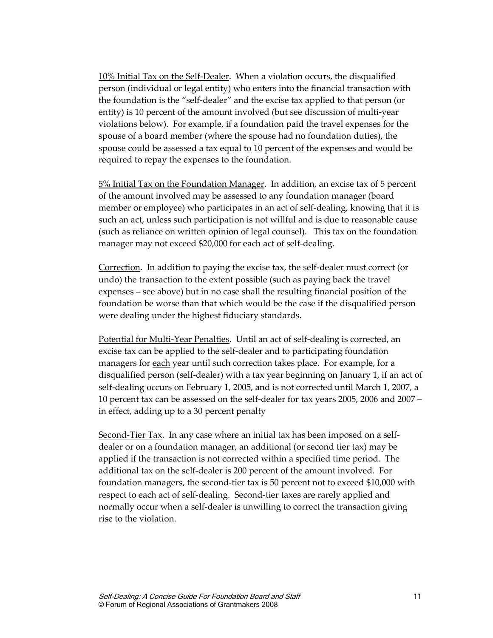10% Initial Tax on the Self-Dealer. When a violation occurs, the disqualified person (individual or legal entity) who enters into the financial transaction with the foundation is the "self-dealer" and the excise tax applied to that person (or entity) is 10 percent of the amount involved (but see discussion of multi-year violations below). For example, if a foundation paid the travel expenses for the spouse of a board member (where the spouse had no foundation duties), the spouse could be assessed a tax equal to 10 percent of the expenses and would be required to repay the expenses to the foundation.

5% Initial Tax on the Foundation Manager. In addition, an excise tax of 5 percent of the amount involved may be assessed to any foundation manager (board member or employee) who participates in an act of self-dealing, knowing that it is such an act, unless such participation is not willful and is due to reasonable cause (such as reliance on written opinion of legal counsel). This tax on the foundation manager may not exceed \$20,000 for each act of self-dealing.

Correction. In addition to paying the excise tax, the self-dealer must correct (or undo) the transaction to the extent possible (such as paying back the travel expenses – see above) but in no case shall the resulting financial position of the foundation be worse than that which would be the case if the disqualified person were dealing under the highest fiduciary standards.

Potential for Multi-Year Penalties. Until an act of self-dealing is corrected, an excise tax can be applied to the self-dealer and to participating foundation managers for each year until such correction takes place. For example, for a disqualified person (self-dealer) with a tax year beginning on January 1, if an act of self-dealing occurs on February 1, 2005, and is not corrected until March 1, 2007, a 10 percent tax can be assessed on the self-dealer for tax years 2005, 2006 and 2007 – in effect, adding up to a 30 percent penalty

Second-Tier Tax. In any case where an initial tax has been imposed on a selfdealer or on a foundation manager, an additional (or second tier tax) may be applied if the transaction is not corrected within a specified time period. The additional tax on the self-dealer is 200 percent of the amount involved. For foundation managers, the second-tier tax is 50 percent not to exceed \$10,000 with respect to each act of self-dealing. Second-tier taxes are rarely applied and normally occur when a self-dealer is unwilling to correct the transaction giving rise to the violation.